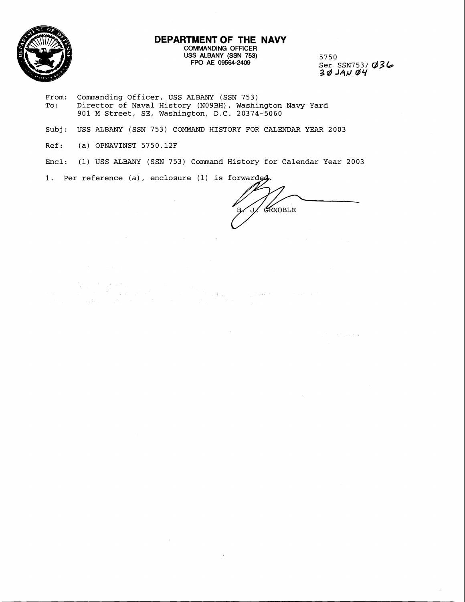

#### **DEPARTMENT OF THE NAVY**  COMMANDING OFFICER USS ALBANY (SSN 753) FPO AE 09564-2409

5750 Ser SSN753/ **(\$3 b 3d J4EJ** ar4

 $\mathcal{L}^{(k)}$  and  $\mathcal{L}^{(k)}$  , and  $\mathcal{L}^{(k)}$ 

- From: Commanding Officer, USS ALBANY (SSN 753)<br>To: Director of Naval History (N09BH), Washi Director of Naval History (NO9BH), Washington Navy Yard 901 M Street, SE, Washington, D.C. 20374-5060
- Subj: USS ALBANY (SSN 753) COMMAND HISTORY FOR CALENDAR YEAR 2003
- Ref: (a) OPNAVINST 5750.12F

 $\begin{split} \frac{d^2\mathbf{p}}{d\mathbf{p}} &= \frac{d^2\mathbf{p}}{d\mathbf{p}}\frac{d^2\mathbf{p}}{d\mathbf{p}}\frac{d^2\mathbf{p}}{d\mathbf{p}} \\ &= \frac{d^2\mathbf{p}}{d\mathbf{p}}\frac{d^2\mathbf{p}}{d\mathbf{p}}\frac{d^2\mathbf{p}}{d\mathbf{p}}\frac{d^2\mathbf{p}}{d\mathbf{p}}\frac{d^2\mathbf{p}}{d\mathbf{p}}\frac{d^2\mathbf{p}}{d\mathbf{p}}\frac{d^2\mathbf{p}}$ 

- Encl: (1) USS ALBANY (SSN 753) Command History for Calendar Year 2003
- 1. Per reference (a), enclosure (1) is forwarded.

 $\mathcal{A}^{\mathcal{A}}$ 

 $\overline{a}$ 

GENOBLE

 $\mathcal{L}_{\mathcal{L}}$  , and the state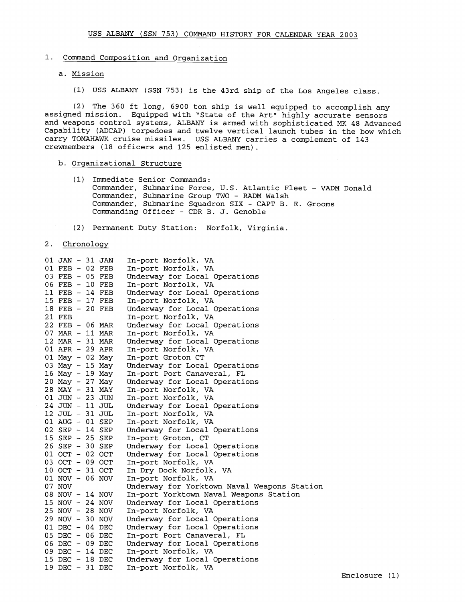# 1. Command Composition and Organization

# a. Mission

(1) USS ALBANY (SSN 753) is the 43rd ship of the Los Angeles class

(2) The 360 ft long, 6900 ton ship is well equipped to accomplish any assigned mission. Equipped with 'State of the Art" highly accurate sensors and weapons control systems, ALBANY is armed with sophisticated MK 48 Advanced Capability (ADCAP) torpedoes and twelve vertical launch tubes in the bow which carry TOMAHAWK cruise missiles. USS ALBANY carries a complement of 143 crewmembers (18 officers and 125 enlisted men).

## b. Organizational Structure

- (1) Immediate Senior Commands: Commander, Submarine Force, U.S. Atlantic Fleet - VADM Donald Commander, Submarine Group TWO - RADM Walsh Commander, Submarine Squadron SIX - CAPT B. E. Grooms Commanding Officer - CDR B. J. Genoble
- (2) Permanent Duty Station: Norfolk, Virginia.

#### 2. Chronology

| 01 JAN - 31 JAN<br>01 FEB - 02 FEB |  | In-port Norfolk, VA<br>In-port Norfolk, VA  |
|------------------------------------|--|---------------------------------------------|
| 03 FEB - 05 FEB                    |  | Underway for Local Operations               |
| 06 FEB - 10 FEB                    |  | In-port Norfolk, VA                         |
| 11 FEB - 14 FEB                    |  | Underway for Local Operations               |
| 15 FEB - 17 FEB                    |  | In-port Norfolk, VA                         |
| 18 FEB - 20 FEB                    |  | Underway for Local Operations               |
| 21 FEB                             |  | In-port Norfolk, VA                         |
| 22 FEB - 06 MAR                    |  | Underway for Local Operations               |
| 07 MAR - 11 MAR                    |  | In-port Norfolk, VA                         |
| 12 MAR - 31 MAR                    |  | Underway for Local Operations               |
| 01 APR - 29 APR                    |  | In-port Norfolk, VA                         |
| 01 May - 02 May                    |  | In-port Groton CT                           |
| 03 May - 15 May                    |  | Underway for Local Operations               |
| 16 May - 19 May                    |  | In-port Port Canaveral, FL                  |
| 20 May - 27 May                    |  | Underway for Local Operations               |
| 28 MAY - 31 MAY                    |  | In-port Norfolk, VA                         |
| 01 JUN - 23 JUN                    |  | In-port Norfolk, VA                         |
| 24 JUN - 11 JUL                    |  | Underway for Local Operations               |
| 12 JUL - 31 JUL                    |  | In-port Norfolk, VA                         |
| 01 AUG - 01 SEP                    |  | In-port Norfolk, VA                         |
| 02 SEP - 14 SEP                    |  | Underway for Local Operations               |
| 15 SEP - 25 SEP                    |  | In-port Groton, CT                          |
| 26 SEP - 30 SEP                    |  | Underway for Local Operations               |
| 01 OCT - 02 OCT                    |  | Underway for Local Operations               |
| 03 OCT - 09 OCT                    |  | In-port Norfolk, VA                         |
| 10 OCT - 31 OCT                    |  | In Dry Dock Norfolk, VA                     |
| 01 NOV - 06 NOV                    |  | In-port Norfolk, VA                         |
| 07 NOV                             |  | Underway for Yorktown Naval Weapons Station |
| 08 NOV - 14 NOV                    |  | In-port Yorktown Naval Weapons Station      |
| 15 NOV - 24 NOV                    |  | Underway for Local Operations               |
| 25 NOV - 28 NOV                    |  | In-port Norfolk, VA                         |
| 29 NOV - 30 NOV                    |  | Underway for Local Operations               |
| 01 DEC - 04 DEC                    |  | Underway for Local Operations               |
| 05 DEC - 06 DEC                    |  | In-port Port Canaveral, FL                  |
| 06 DEC - 09 DEC                    |  | Underway for Local Operations               |
| 09 DEC - 14 DEC                    |  | In-port Norfolk, VA                         |
| 15 DEC - 18 DEC                    |  | Underway for Local Operations               |
| 19 DEC - 31 DEC                    |  | In-port Norfolk, VA                         |
|                                    |  |                                             |